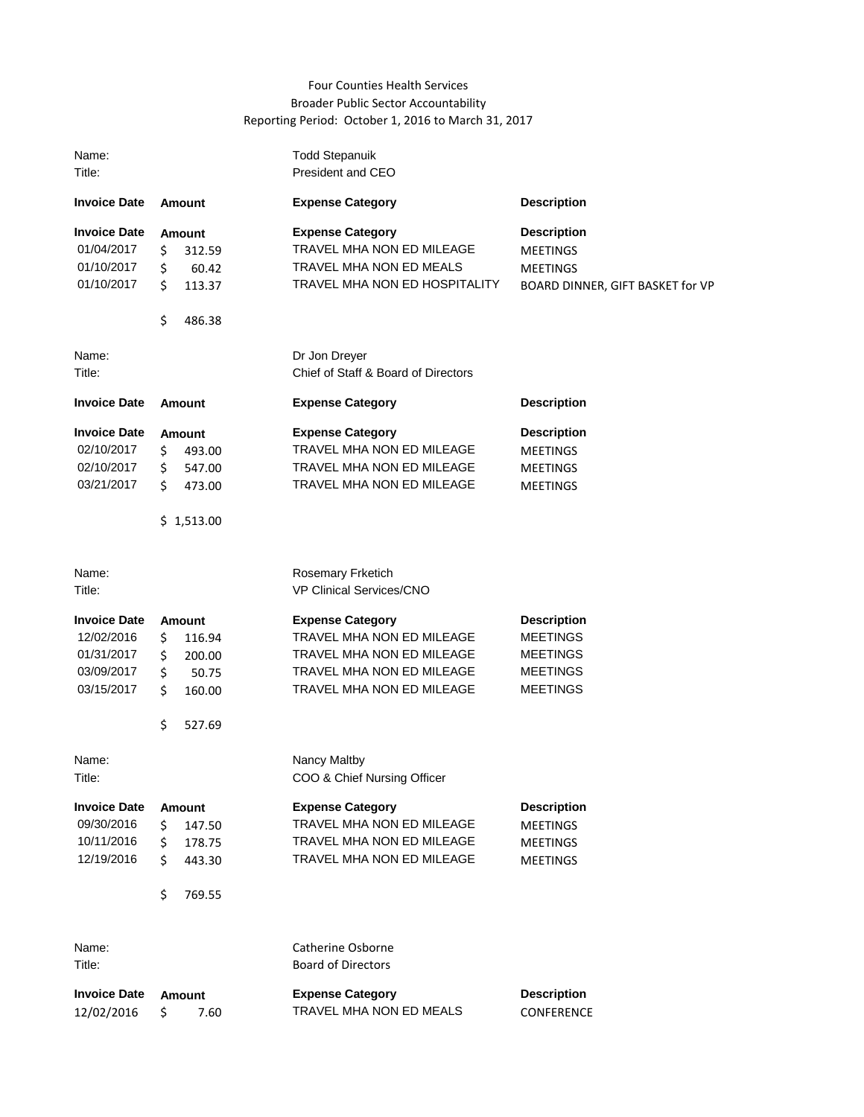## Four Counties Health Services Broader Public Sector Accountability Reporting Period: October 1, 2016 to March 31, 2017

| Name:<br>Title:                                                             |                                                                                              | <b>Todd Stepanuik</b><br>President and CEO                                                                                                  |                                                                                                |
|-----------------------------------------------------------------------------|----------------------------------------------------------------------------------------------|---------------------------------------------------------------------------------------------------------------------------------------------|------------------------------------------------------------------------------------------------|
| <b>Invoice Date</b>                                                         | <b>Amount</b>                                                                                | <b>Expense Category</b>                                                                                                                     | <b>Description</b>                                                                             |
| <b>Invoice Date</b><br>01/04/2017<br>01/10/2017<br>01/10/2017               | <b>Amount</b><br>\$<br>312.59<br>\$<br>60.42<br>\$<br>113.37<br>\$<br>486.38                 | <b>Expense Category</b><br>TRAVEL MHA NON ED MILEAGE<br>TRAVEL MHA NON ED MEALS<br><b>TRAVEL MHA NON ED HOSPITALITY</b>                     | <b>Description</b><br><b>MEETINGS</b><br><b>MEETINGS</b><br>BOARD DINNER, GIFT BASKET for VP   |
| Name:<br>Title:                                                             |                                                                                              | Dr Jon Dreyer<br>Chief of Staff & Board of Directors                                                                                        |                                                                                                |
| <b>Invoice Date</b>                                                         | <b>Amount</b>                                                                                | <b>Expense Category</b>                                                                                                                     | <b>Description</b>                                                                             |
| <b>Invoice Date</b><br>02/10/2017<br>02/10/2017<br>03/21/2017               | <b>Amount</b><br>\$<br>493.00<br>547.00<br>\$<br>Ś.<br>473.00<br>\$1,513.00                  | <b>Expense Category</b><br>TRAVEL MHA NON ED MILEAGE<br>TRAVEL MHA NON ED MILEAGE<br>TRAVEL MHA NON ED MILEAGE                              | <b>Description</b><br><b>MEETINGS</b><br><b>MEETINGS</b><br><b>MEETINGS</b>                    |
| Name:<br>Title:                                                             |                                                                                              | <b>Rosemary Frketich</b><br>VP Clinical Services/CNO                                                                                        |                                                                                                |
| <b>Invoice Date</b><br>12/02/2016<br>01/31/2017<br>03/09/2017<br>03/15/2017 | <b>Amount</b><br>\$<br>116.94<br>\$<br>200.00<br>\$<br>50.75<br>\$<br>160.00<br>\$<br>527.69 | <b>Expense Category</b><br>TRAVEL MHA NON ED MILEAGE<br>TRAVEL MHA NON ED MILEAGE<br>TRAVEL MHA NON ED MILEAGE<br>TRAVEL MHA NON ED MILEAGE | <b>Description</b><br><b>MEETINGS</b><br><b>MEETINGS</b><br><b>MEETINGS</b><br><b>MEETINGS</b> |
| Name:<br>Title:                                                             |                                                                                              | Nancy Maltby<br>COO & Chief Nursing Officer                                                                                                 |                                                                                                |
| <b>Invoice Date</b><br>09/30/2016<br>10/11/2016<br>12/19/2016               | Amount<br>\$<br>147.50<br>\$<br>178.75<br>\$<br>443.30<br>\$<br>769.55                       | <b>Expense Category</b><br><b>TRAVEL MHA NON ED MILEAGE</b><br>TRAVEL MHA NON ED MILEAGE<br>TRAVEL MHA NON ED MILEAGE                       | <b>Description</b><br><b>MEETINGS</b><br><b>MEETINGS</b><br><b>MEETINGS</b>                    |
| Name:<br>Title:                                                             |                                                                                              | <b>Catherine Osborne</b><br><b>Board of Directors</b>                                                                                       |                                                                                                |
| <b>Invoice Date</b><br>12/02/2016                                           | Amount<br>\$<br>7.60                                                                         | <b>Expense Category</b><br>TRAVEL MHA NON ED MEALS                                                                                          | <b>Description</b><br>CONFERENCE                                                               |